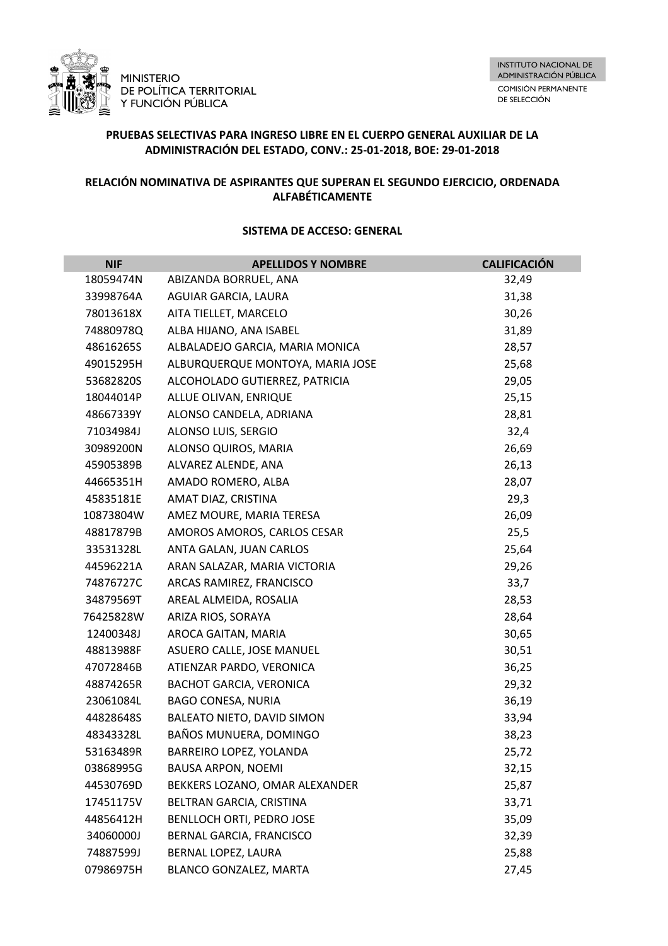

# **PRUEBAS SELECTIVAS PARA INGRESO LIBRE EN EL CUERPO GENERAL AUXILIAR DE LA ADMINISTRACIÓN DEL ESTADO, CONV.: 25-01-2018, BOE: 29-01-2018**

## **RELACIÓN NOMINATIVA DE ASPIRANTES QUE SUPERAN EL SEGUNDO EJERCICIO, ORDENADA ALFABÉTICAMENTE**

| <b>NIF</b> | <b>APELLIDOS Y NOMBRE</b>        | <b>CALIFICACIÓN</b> |
|------------|----------------------------------|---------------------|
| 18059474N  | ABIZANDA BORRUEL, ANA            | 32,49               |
| 33998764A  | AGUIAR GARCIA, LAURA             | 31,38               |
| 78013618X  | AITA TIELLET, MARCELO            | 30,26               |
| 74880978Q  | ALBA HIJANO, ANA ISABEL          | 31,89               |
| 48616265S  | ALBALADEJO GARCIA, MARIA MONICA  | 28,57               |
| 49015295H  | ALBURQUERQUE MONTOYA, MARIA JOSE | 25,68               |
| 53682820S  | ALCOHOLADO GUTIERREZ, PATRICIA   | 29,05               |
| 18044014P  | ALLUE OLIVAN, ENRIQUE            | 25,15               |
| 48667339Y  | ALONSO CANDELA, ADRIANA          | 28,81               |
| 71034984J  | ALONSO LUIS, SERGIO              | 32,4                |
| 30989200N  | ALONSO QUIROS, MARIA             | 26,69               |
| 45905389B  | ALVAREZ ALENDE, ANA              | 26,13               |
| 44665351H  | AMADO ROMERO, ALBA               | 28,07               |
| 45835181E  | AMAT DIAZ, CRISTINA              | 29,3                |
| 10873804W  | AMEZ MOURE, MARIA TERESA         | 26,09               |
| 48817879B  | AMOROS AMOROS, CARLOS CESAR      | 25,5                |
| 33531328L  | ANTA GALAN, JUAN CARLOS          | 25,64               |
| 44596221A  | ARAN SALAZAR, MARIA VICTORIA     | 29,26               |
| 74876727C  | ARCAS RAMIREZ, FRANCISCO         | 33,7                |
| 34879569T  | AREAL ALMEIDA, ROSALIA           | 28,53               |
| 76425828W  | ARIZA RIOS, SORAYA               | 28,64               |
| 12400348J  | AROCA GAITAN, MARIA              | 30,65               |
| 48813988F  | ASUERO CALLE, JOSE MANUEL        | 30,51               |
| 47072846B  | ATIENZAR PARDO, VERONICA         | 36,25               |
| 48874265R  | <b>BACHOT GARCIA, VERONICA</b>   | 29,32               |
| 23061084L  | <b>BAGO CONESA, NURIA</b>        | 36,19               |
| 44828648S  | BALEATO NIETO, DAVID SIMON       | 33,94               |
| 48343328L  | BAÑOS MUNUERA, DOMINGO           | 38,23               |
| 53163489R  | BARREIRO LOPEZ, YOLANDA          | 25,72               |
| 03868995G  | <b>BAUSA ARPON, NOEMI</b>        | 32,15               |
| 44530769D  | BEKKERS LOZANO, OMAR ALEXANDER   | 25,87               |
| 17451175V  | BELTRAN GARCIA, CRISTINA         | 33,71               |
| 44856412H  | BENLLOCH ORTI, PEDRO JOSE        | 35,09               |
| 34060000J  | BERNAL GARCIA, FRANCISCO         | 32,39               |
| 74887599J  | BERNAL LOPEZ, LAURA              | 25,88               |
| 07986975H  | BLANCO GONZALEZ, MARTA           | 27,45               |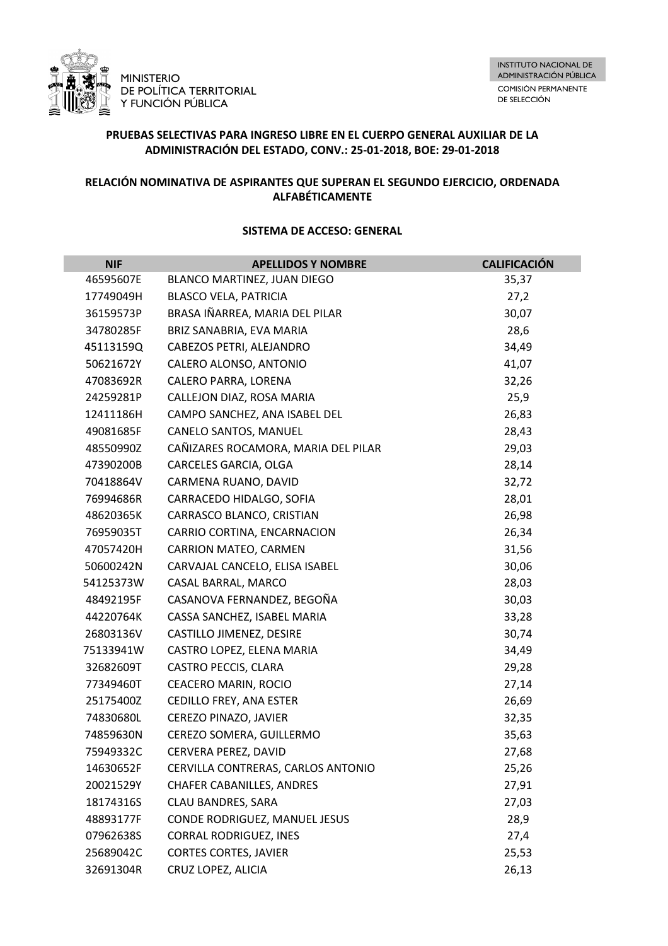

# **PRUEBAS SELECTIVAS PARA INGRESO LIBRE EN EL CUERPO GENERAL AUXILIAR DE LA ADMINISTRACIÓN DEL ESTADO, CONV.: 25-01-2018, BOE: 29-01-2018**

## **RELACIÓN NOMINATIVA DE ASPIRANTES QUE SUPERAN EL SEGUNDO EJERCICIO, ORDENADA ALFABÉTICAMENTE**

| <b>NIF</b> | <b>APELLIDOS Y NOMBRE</b>           | <b>CALIFICACIÓN</b> |
|------------|-------------------------------------|---------------------|
| 46595607E  | BLANCO MARTINEZ, JUAN DIEGO         | 35,37               |
| 17749049H  | <b>BLASCO VELA, PATRICIA</b>        | 27,2                |
| 36159573P  | BRASA IÑARREA, MARIA DEL PILAR      | 30,07               |
| 34780285F  | BRIZ SANABRIA, EVA MARIA            | 28,6                |
| 45113159Q  | CABEZOS PETRI, ALEJANDRO            | 34,49               |
| 50621672Y  | CALERO ALONSO, ANTONIO              | 41,07               |
| 47083692R  | CALERO PARRA, LORENA                | 32,26               |
| 24259281P  | CALLEJON DIAZ, ROSA MARIA           | 25,9                |
| 12411186H  | CAMPO SANCHEZ, ANA ISABEL DEL       | 26,83               |
| 49081685F  | CANELO SANTOS, MANUEL               | 28,43               |
| 48550990Z  | CAÑIZARES ROCAMORA, MARIA DEL PILAR | 29,03               |
| 47390200B  | CARCELES GARCIA, OLGA               | 28,14               |
| 70418864V  | CARMENA RUANO, DAVID                | 32,72               |
| 76994686R  | CARRACEDO HIDALGO, SOFIA            | 28,01               |
| 48620365K  | CARRASCO BLANCO, CRISTIAN           | 26,98               |
| 76959035T  | CARRIO CORTINA, ENCARNACION         | 26,34               |
| 47057420H  | <b>CARRION MATEO, CARMEN</b>        | 31,56               |
| 50600242N  | CARVAJAL CANCELO, ELISA ISABEL      | 30,06               |
| 54125373W  | CASAL BARRAL, MARCO                 | 28,03               |
| 48492195F  | CASANOVA FERNANDEZ, BEGOÑA          | 30,03               |
| 44220764K  | CASSA SANCHEZ, ISABEL MARIA         | 33,28               |
| 26803136V  | CASTILLO JIMENEZ, DESIRE            | 30,74               |
| 75133941W  | CASTRO LOPEZ, ELENA MARIA           | 34,49               |
| 32682609T  | CASTRO PECCIS, CLARA                | 29,28               |
| 77349460T  | CEACERO MARIN, ROCIO                | 27,14               |
| 25175400Z  | CEDILLO FREY, ANA ESTER             | 26,69               |
| 74830680L  | CEREZO PINAZO, JAVIER               | 32,35               |
| 74859630N  | CEREZO SOMERA, GUILLERMO            | 35,63               |
| 75949332C  | CERVERA PEREZ, DAVID                | 27,68               |
| 14630652F  | CERVILLA CONTRERAS, CARLOS ANTONIO  | 25,26               |
| 20021529Y  | <b>CHAFER CABANILLES, ANDRES</b>    | 27,91               |
| 18174316S  | CLAU BANDRES, SARA                  | 27,03               |
| 48893177F  | CONDE RODRIGUEZ, MANUEL JESUS       | 28,9                |
| 07962638S  | <b>CORRAL RODRIGUEZ, INES</b>       | 27,4                |
| 25689042C  | <b>CORTES CORTES, JAVIER</b>        | 25,53               |
| 32691304R  | CRUZ LOPEZ, ALICIA                  | 26,13               |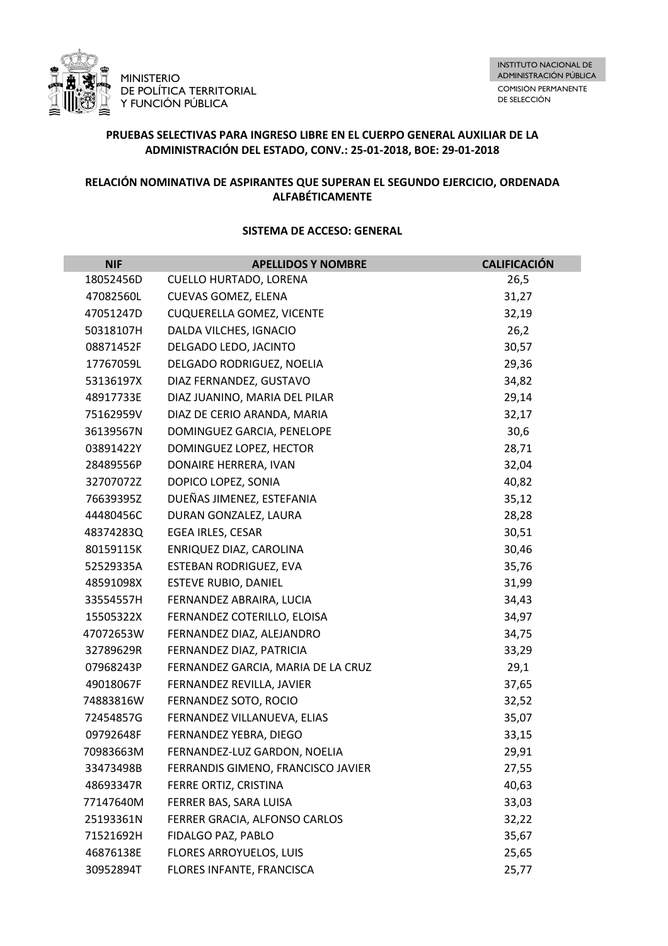

# **PRUEBAS SELECTIVAS PARA INGRESO LIBRE EN EL CUERPO GENERAL AUXILIAR DE LA ADMINISTRACIÓN DEL ESTADO, CONV.: 25-01-2018, BOE: 29-01-2018**

## **RELACIÓN NOMINATIVA DE ASPIRANTES QUE SUPERAN EL SEGUNDO EJERCICIO, ORDENADA ALFABÉTICAMENTE**

| <b>NIF</b> | <b>APELLIDOS Y NOMBRE</b>          | <b>CALIFICACIÓN</b> |
|------------|------------------------------------|---------------------|
| 18052456D  | <b>CUELLO HURTADO, LORENA</b>      | 26,5                |
| 47082560L  | CUEVAS GOMEZ, ELENA                | 31,27               |
| 47051247D  | <b>CUQUERELLA GOMEZ, VICENTE</b>   | 32,19               |
| 50318107H  | DALDA VILCHES, IGNACIO             | 26,2                |
| 08871452F  | DELGADO LEDO, JACINTO              | 30,57               |
| 17767059L  | DELGADO RODRIGUEZ, NOELIA          | 29,36               |
| 53136197X  | DIAZ FERNANDEZ, GUSTAVO            | 34,82               |
| 48917733E  | DIAZ JUANINO, MARIA DEL PILAR      | 29,14               |
| 75162959V  | DIAZ DE CERIO ARANDA, MARIA        | 32,17               |
| 36139567N  | DOMINGUEZ GARCIA, PENELOPE         | 30,6                |
| 03891422Y  | DOMINGUEZ LOPEZ, HECTOR            | 28,71               |
| 28489556P  | DONAIRE HERRERA, IVAN              | 32,04               |
| 32707072Z  | DOPICO LOPEZ, SONIA                | 40,82               |
| 76639395Z  | DUEÑAS JIMENEZ, ESTEFANIA          | 35,12               |
| 44480456C  | DURAN GONZALEZ, LAURA              | 28,28               |
| 48374283Q  | EGEA IRLES, CESAR                  | 30,51               |
| 80159115K  | ENRIQUEZ DIAZ, CAROLINA            | 30,46               |
| 52529335A  | ESTEBAN RODRIGUEZ, EVA             | 35,76               |
| 48591098X  | <b>ESTEVE RUBIO, DANIEL</b>        | 31,99               |
| 33554557H  | FERNANDEZ ABRAIRA, LUCIA           | 34,43               |
| 15505322X  | FERNANDEZ COTERILLO, ELOISA        | 34,97               |
| 47072653W  | FERNANDEZ DIAZ, ALEJANDRO          | 34,75               |
| 32789629R  | FERNANDEZ DIAZ, PATRICIA           | 33,29               |
| 07968243P  | FERNANDEZ GARCIA, MARIA DE LA CRUZ | 29,1                |
| 49018067F  | FERNANDEZ REVILLA, JAVIER          | 37,65               |
| 74883816W  | FERNANDEZ SOTO, ROCIO              | 32,52               |
| 72454857G  | FERNANDEZ VILLANUEVA, ELIAS        | 35,07               |
| 09792648F  | FERNANDEZ YEBRA, DIEGO             | 33,15               |
| 70983663M  | FERNANDEZ-LUZ GARDON, NOELIA       | 29,91               |
| 33473498B  | FERRANDIS GIMENO, FRANCISCO JAVIER | 27,55               |
| 48693347R  | FERRE ORTIZ, CRISTINA              | 40,63               |
| 77147640M  | FERRER BAS, SARA LUISA             | 33,03               |
| 25193361N  | FERRER GRACIA, ALFONSO CARLOS      | 32,22               |
| 71521692H  | FIDALGO PAZ, PABLO                 | 35,67               |
| 46876138E  | FLORES ARROYUELOS, LUIS            | 25,65               |
| 30952894T  | FLORES INFANTE, FRANCISCA          | 25,77               |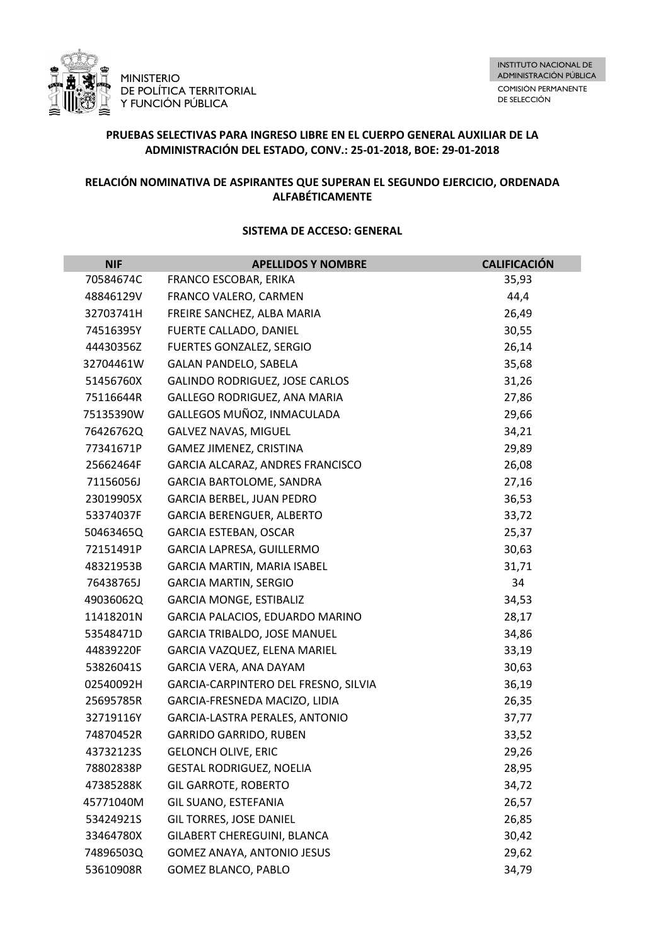

# **PRUEBAS SELECTIVAS PARA INGRESO LIBRE EN EL CUERPO GENERAL AUXILIAR DE LA ADMINISTRACIÓN DEL ESTADO, CONV.: 25-01-2018, BOE: 29-01-2018**

## **RELACIÓN NOMINATIVA DE ASPIRANTES QUE SUPERAN EL SEGUNDO EJERCICIO, ORDENADA ALFABÉTICAMENTE**

| <b>NIF</b> | <b>APELLIDOS Y NOMBRE</b>            | <b>CALIFICACIÓN</b> |
|------------|--------------------------------------|---------------------|
| 70584674C  | FRANCO ESCOBAR, ERIKA                | 35,93               |
| 48846129V  | FRANCO VALERO, CARMEN                | 44,4                |
| 32703741H  | FREIRE SANCHEZ, ALBA MARIA           | 26,49               |
| 74516395Y  | FUERTE CALLADO, DANIEL               | 30,55               |
| 44430356Z  | FUERTES GONZALEZ, SERGIO             | 26,14               |
| 32704461W  | <b>GALAN PANDELO, SABELA</b>         | 35,68               |
| 51456760X  | GALINDO RODRIGUEZ, JOSE CARLOS       | 31,26               |
| 75116644R  | GALLEGO RODRIGUEZ, ANA MARIA         | 27,86               |
| 75135390W  | GALLEGOS MUÑOZ, INMACULADA           | 29,66               |
| 76426762Q  | <b>GALVEZ NAVAS, MIGUEL</b>          | 34,21               |
| 77341671P  | GAMEZ JIMENEZ, CRISTINA              | 29,89               |
| 25662464F  | GARCIA ALCARAZ, ANDRES FRANCISCO     | 26,08               |
| 71156056J  | <b>GARCIA BARTOLOME, SANDRA</b>      | 27,16               |
| 23019905X  | GARCIA BERBEL, JUAN PEDRO            | 36,53               |
| 53374037F  | <b>GARCIA BERENGUER, ALBERTO</b>     | 33,72               |
| 50463465Q  | <b>GARCIA ESTEBAN, OSCAR</b>         | 25,37               |
| 72151491P  | GARCIA LAPRESA, GUILLERMO            | 30,63               |
| 48321953B  | GARCIA MARTIN, MARIA ISABEL          | 31,71               |
| 76438765J  | <b>GARCIA MARTIN, SERGIO</b>         | 34                  |
| 49036062Q  | <b>GARCIA MONGE, ESTIBALIZ</b>       | 34,53               |
| 11418201N  | GARCIA PALACIOS, EDUARDO MARINO      | 28,17               |
| 53548471D  | <b>GARCIA TRIBALDO, JOSE MANUEL</b>  | 34,86               |
| 44839220F  | GARCIA VAZQUEZ, ELENA MARIEL         | 33,19               |
| 53826041S  | GARCIA VERA, ANA DAYAM               | 30,63               |
| 02540092H  | GARCIA-CARPINTERO DEL FRESNO, SILVIA | 36,19               |
| 25695785R  | GARCIA-FRESNEDA MACIZO, LIDIA        | 26,35               |
| 32719116Y  | GARCIA-LASTRA PERALES, ANTONIO       | 37,77               |
| 74870452R  | <b>GARRIDO GARRIDO, RUBEN</b>        | 33,52               |
| 43732123S  | <b>GELONCH OLIVE, ERIC</b>           | 29,26               |
| 78802838P  | <b>GESTAL RODRIGUEZ, NOELIA</b>      | 28,95               |
| 47385288K  | <b>GIL GARROTE, ROBERTO</b>          | 34,72               |
| 45771040M  | GIL SUANO, ESTEFANIA                 | 26,57               |
| 53424921S  | GIL TORRES, JOSE DANIEL              | 26,85               |
| 33464780X  | GILABERT CHEREGUINI, BLANCA          | 30,42               |
| 74896503Q  | GOMEZ ANAYA, ANTONIO JESUS           | 29,62               |
| 53610908R  | GOMEZ BLANCO, PABLO                  | 34,79               |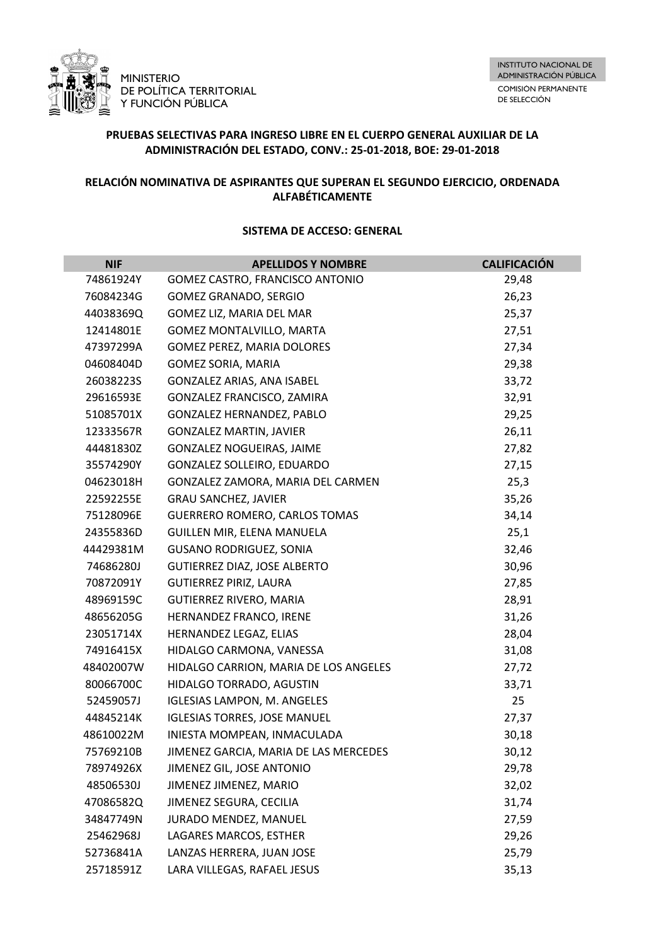

# **PRUEBAS SELECTIVAS PARA INGRESO LIBRE EN EL CUERPO GENERAL AUXILIAR DE LA ADMINISTRACIÓN DEL ESTADO, CONV.: 25-01-2018, BOE: 29-01-2018**

## **RELACIÓN NOMINATIVA DE ASPIRANTES QUE SUPERAN EL SEGUNDO EJERCICIO, ORDENADA ALFABÉTICAMENTE**

| <b>NIF</b> | <b>APELLIDOS Y NOMBRE</b>             | <b>CALIFICACIÓN</b> |
|------------|---------------------------------------|---------------------|
| 74861924Y  | GOMEZ CASTRO, FRANCISCO ANTONIO       | 29,48               |
| 76084234G  | GOMEZ GRANADO, SERGIO                 | 26,23               |
| 44038369Q  | GOMEZ LIZ, MARIA DEL MAR              | 25,37               |
| 12414801E  | <b>GOMEZ MONTALVILLO, MARTA</b>       | 27,51               |
| 47397299A  | <b>GOMEZ PEREZ, MARIA DOLORES</b>     | 27,34               |
| 04608404D  | GOMEZ SORIA, MARIA                    | 29,38               |
| 26038223S  | GONZALEZ ARIAS, ANA ISABEL            | 33,72               |
| 29616593E  | GONZALEZ FRANCISCO, ZAMIRA            | 32,91               |
| 51085701X  | GONZALEZ HERNANDEZ, PABLO             | 29,25               |
| 12333567R  | <b>GONZALEZ MARTIN, JAVIER</b>        | 26,11               |
| 44481830Z  | GONZALEZ NOGUEIRAS, JAIME             | 27,82               |
| 35574290Y  | GONZALEZ SOLLEIRO, EDUARDO            | 27,15               |
| 04623018H  | GONZALEZ ZAMORA, MARIA DEL CARMEN     | 25,3                |
| 22592255E  | <b>GRAU SANCHEZ, JAVIER</b>           | 35,26               |
| 75128096E  | <b>GUERRERO ROMERO, CARLOS TOMAS</b>  | 34,14               |
| 24355836D  | GUILLEN MIR, ELENA MANUELA            | 25,1                |
| 44429381M  | <b>GUSANO RODRIGUEZ, SONIA</b>        | 32,46               |
| 74686280J  | GUTIERREZ DIAZ, JOSE ALBERTO          | 30,96               |
| 70872091Y  | GUTIERREZ PIRIZ, LAURA                | 27,85               |
| 48969159C  | <b>GUTIERREZ RIVERO, MARIA</b>        | 28,91               |
| 48656205G  | HERNANDEZ FRANCO, IRENE               | 31,26               |
| 23051714X  | HERNANDEZ LEGAZ, ELIAS                | 28,04               |
| 74916415X  | HIDALGO CARMONA, VANESSA              | 31,08               |
| 48402007W  | HIDALGO CARRION, MARIA DE LOS ANGELES | 27,72               |
| 80066700C  | HIDALGO TORRADO, AGUSTIN              | 33,71               |
| 52459057J  | <b>IGLESIAS LAMPON, M. ANGELES</b>    | 25                  |
| 44845214K  | <b>IGLESIAS TORRES, JOSE MANUEL</b>   | 27,37               |
| 48610022M  | INIESTA MOMPEAN, INMACULADA           | 30,18               |
| 75769210B  | JIMENEZ GARCIA, MARIA DE LAS MERCEDES | 30,12               |
| 78974926X  | JIMENEZ GIL, JOSE ANTONIO             | 29,78               |
| 48506530J  | JIMENEZ JIMENEZ, MARIO                | 32,02               |
| 47086582Q  | JIMENEZ SEGURA, CECILIA               | 31,74               |
| 34847749N  | JURADO MENDEZ, MANUEL                 | 27,59               |
| 25462968J  | LAGARES MARCOS, ESTHER                | 29,26               |
| 52736841A  | LANZAS HERRERA, JUAN JOSE             | 25,79               |
| 25718591Z  | LARA VILLEGAS, RAFAEL JESUS           | 35,13               |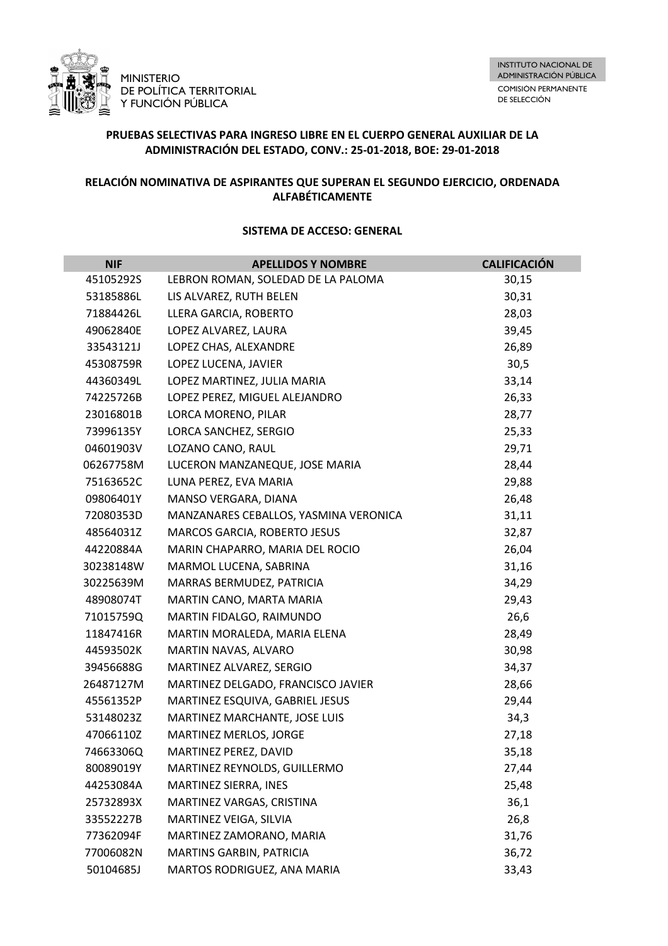

# **PRUEBAS SELECTIVAS PARA INGRESO LIBRE EN EL CUERPO GENERAL AUXILIAR DE LA ADMINISTRACIÓN DEL ESTADO, CONV.: 25-01-2018, BOE: 29-01-2018**

## **RELACIÓN NOMINATIVA DE ASPIRANTES QUE SUPERAN EL SEGUNDO EJERCICIO, ORDENADA ALFABÉTICAMENTE**

| <b>NIF</b> | <b>APELLIDOS Y NOMBRE</b>             | <b>CALIFICACIÓN</b> |
|------------|---------------------------------------|---------------------|
| 45105292S  | LEBRON ROMAN, SOLEDAD DE LA PALOMA    | 30,15               |
| 53185886L  | LIS ALVAREZ, RUTH BELEN               | 30,31               |
| 71884426L  | LLERA GARCIA, ROBERTO                 | 28,03               |
| 49062840E  | LOPEZ ALVAREZ, LAURA                  | 39,45               |
| 33543121J  | LOPEZ CHAS, ALEXANDRE                 | 26,89               |
| 45308759R  | LOPEZ LUCENA, JAVIER                  | 30,5                |
| 44360349L  | LOPEZ MARTINEZ, JULIA MARIA           | 33,14               |
| 74225726B  | LOPEZ PEREZ, MIGUEL ALEJANDRO         | 26,33               |
| 23016801B  | LORCA MORENO, PILAR                   | 28,77               |
| 73996135Y  | LORCA SANCHEZ, SERGIO                 | 25,33               |
| 04601903V  | LOZANO CANO, RAUL                     | 29,71               |
| 06267758M  | LUCERON MANZANEQUE, JOSE MARIA        | 28,44               |
| 75163652C  | LUNA PEREZ, EVA MARIA                 | 29,88               |
| 09806401Y  | MANSO VERGARA, DIANA                  | 26,48               |
| 72080353D  | MANZANARES CEBALLOS, YASMINA VERONICA | 31,11               |
| 48564031Z  | MARCOS GARCIA, ROBERTO JESUS          | 32,87               |
| 44220884A  | MARIN CHAPARRO, MARIA DEL ROCIO       | 26,04               |
| 30238148W  | MARMOL LUCENA, SABRINA                | 31,16               |
| 30225639M  | MARRAS BERMUDEZ, PATRICIA             | 34,29               |
| 48908074T  | MARTIN CANO, MARTA MARIA              | 29,43               |
| 71015759Q  | MARTIN FIDALGO, RAIMUNDO              | 26,6                |
| 11847416R  | MARTIN MORALEDA, MARIA ELENA          | 28,49               |
| 44593502K  | MARTIN NAVAS, ALVARO                  | 30,98               |
| 39456688G  | MARTINEZ ALVAREZ, SERGIO              | 34,37               |
| 26487127M  | MARTINEZ DELGADO, FRANCISCO JAVIER    | 28,66               |
| 45561352P  | MARTINEZ ESQUIVA, GABRIEL JESUS       | 29,44               |
| 53148023Z  | MARTINEZ MARCHANTE, JOSE LUIS         | 34,3                |
| 47066110Z  | MARTINEZ MERLOS, JORGE                | 27,18               |
| 74663306Q  | MARTINEZ PEREZ, DAVID                 | 35,18               |
| 80089019Y  | MARTINEZ REYNOLDS, GUILLERMO          | 27,44               |
| 44253084A  | MARTINEZ SIERRA, INES                 | 25,48               |
| 25732893X  | MARTINEZ VARGAS, CRISTINA             | 36,1                |
| 33552227B  | MARTINEZ VEIGA, SILVIA                | 26,8                |
| 77362094F  | MARTINEZ ZAMORANO, MARIA              | 31,76               |
| 77006082N  | MARTINS GARBIN, PATRICIA              | 36,72               |
| 50104685J  | MARTOS RODRIGUEZ, ANA MARIA           | 33,43               |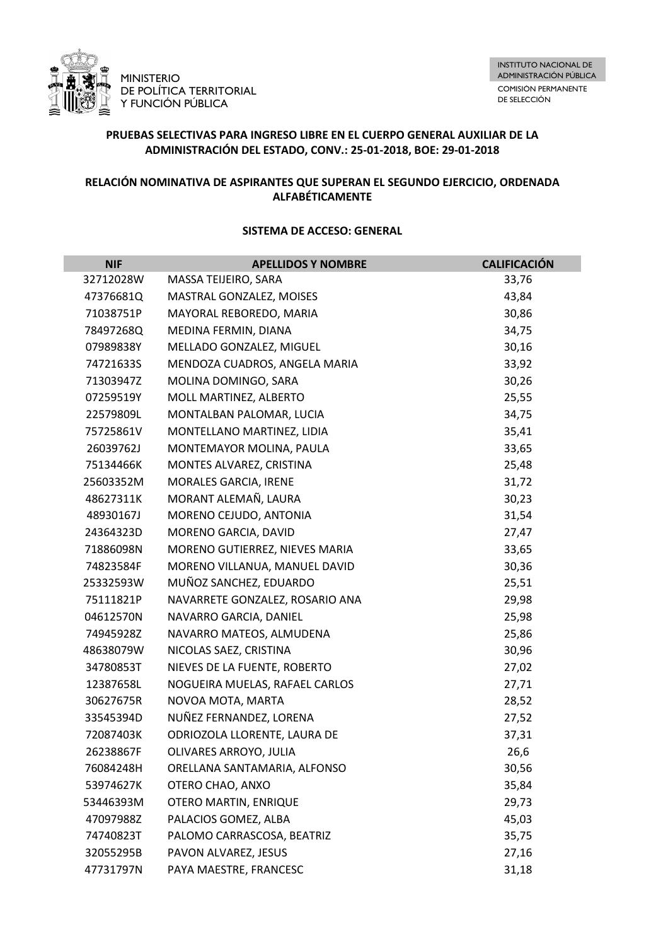

# **PRUEBAS SELECTIVAS PARA INGRESO LIBRE EN EL CUERPO GENERAL AUXILIAR DE LA ADMINISTRACIÓN DEL ESTADO, CONV.: 25-01-2018, BOE: 29-01-2018**

## **RELACIÓN NOMINATIVA DE ASPIRANTES QUE SUPERAN EL SEGUNDO EJERCICIO, ORDENADA ALFABÉTICAMENTE**

| <b>NIF</b> | <b>APELLIDOS Y NOMBRE</b>       | <b>CALIFICACIÓN</b> |
|------------|---------------------------------|---------------------|
| 32712028W  | MASSA TEIJEIRO, SARA            | 33,76               |
| 47376681Q  | MASTRAL GONZALEZ, MOISES        | 43,84               |
| 71038751P  | MAYORAL REBOREDO, MARIA         | 30,86               |
| 78497268Q  | MEDINA FERMIN, DIANA            | 34,75               |
| 07989838Y  | MELLADO GONZALEZ, MIGUEL        | 30,16               |
| 74721633S  | MENDOZA CUADROS, ANGELA MARIA   | 33,92               |
| 71303947Z  | MOLINA DOMINGO, SARA            | 30,26               |
| 07259519Y  | MOLL MARTINEZ, ALBERTO          | 25,55               |
| 22579809L  | MONTALBAN PALOMAR, LUCIA        | 34,75               |
| 75725861V  | MONTELLANO MARTINEZ, LIDIA      | 35,41               |
| 26039762J  | MONTEMAYOR MOLINA, PAULA        | 33,65               |
| 75134466K  | MONTES ALVAREZ, CRISTINA        | 25,48               |
| 25603352M  | MORALES GARCIA, IRENE           | 31,72               |
| 48627311K  | MORANT ALEMAÑ, LAURA            | 30,23               |
| 48930167J  | MORENO CEJUDO, ANTONIA          | 31,54               |
| 24364323D  | MORENO GARCIA, DAVID            | 27,47               |
| 71886098N  | MORENO GUTIERREZ, NIEVES MARIA  | 33,65               |
| 74823584F  | MORENO VILLANUA, MANUEL DAVID   | 30,36               |
| 25332593W  | MUÑOZ SANCHEZ, EDUARDO          | 25,51               |
| 75111821P  | NAVARRETE GONZALEZ, ROSARIO ANA | 29,98               |
| 04612570N  | NAVARRO GARCIA, DANIEL          | 25,98               |
| 74945928Z  | NAVARRO MATEOS, ALMUDENA        | 25,86               |
| 48638079W  | NICOLAS SAEZ, CRISTINA          | 30,96               |
| 34780853T  | NIEVES DE LA FUENTE, ROBERTO    | 27,02               |
| 12387658L  | NOGUEIRA MUELAS, RAFAEL CARLOS  | 27,71               |
| 30627675R  | NOVOA MOTA, MARTA               | 28,52               |
| 33545394D  | NUÑEZ FERNANDEZ, LORENA         | 27,52               |
| 72087403K  | ODRIOZOLA LLORENTE, LAURA DE    | 37,31               |
| 26238867F  | OLIVARES ARROYO, JULIA          | 26,6                |
| 76084248H  | ORELLANA SANTAMARIA, ALFONSO    | 30,56               |
| 53974627K  | OTERO CHAO, ANXO                | 35,84               |
| 53446393M  | OTERO MARTIN, ENRIQUE           | 29,73               |
| 47097988Z  | PALACIOS GOMEZ, ALBA            | 45,03               |
| 74740823T  | PALOMO CARRASCOSA, BEATRIZ      | 35,75               |
| 32055295B  | PAVON ALVAREZ, JESUS            | 27,16               |
| 47731797N  | PAYA MAESTRE, FRANCESC          | 31,18               |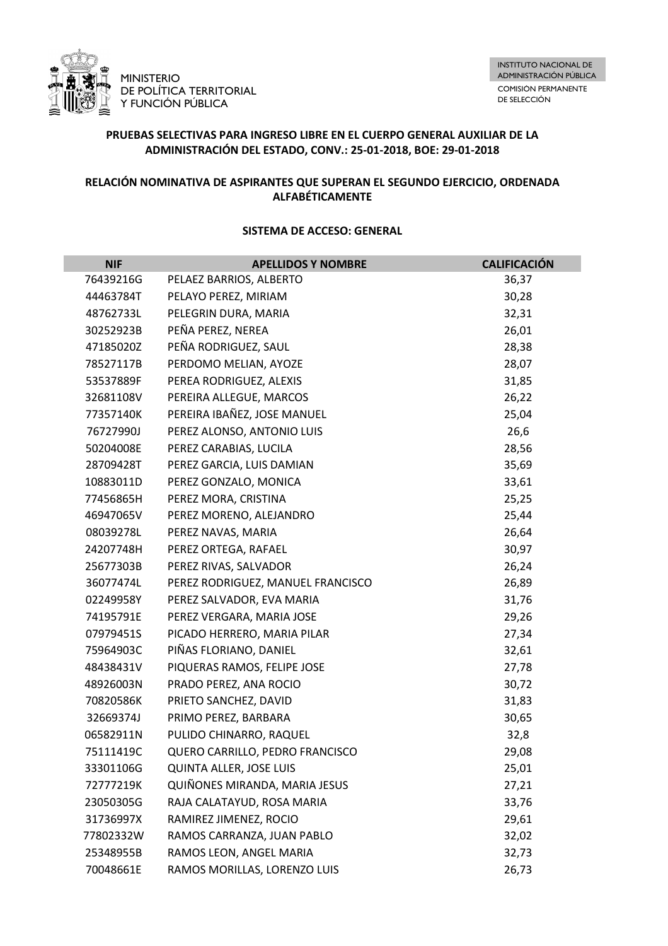

# **PRUEBAS SELECTIVAS PARA INGRESO LIBRE EN EL CUERPO GENERAL AUXILIAR DE LA ADMINISTRACIÓN DEL ESTADO, CONV.: 25-01-2018, BOE: 29-01-2018**

## **RELACIÓN NOMINATIVA DE ASPIRANTES QUE SUPERAN EL SEGUNDO EJERCICIO, ORDENADA ALFABÉTICAMENTE**

| <b>NIF</b> | <b>APELLIDOS Y NOMBRE</b>         | <b>CALIFICACIÓN</b> |
|------------|-----------------------------------|---------------------|
| 76439216G  | PELAEZ BARRIOS, ALBERTO           | 36,37               |
| 44463784T  | PELAYO PEREZ, MIRIAM              | 30,28               |
| 48762733L  | PELEGRIN DURA, MARIA              | 32,31               |
| 30252923B  | PEÑA PEREZ, NEREA                 | 26,01               |
| 47185020Z  | PEÑA RODRIGUEZ, SAUL              | 28,38               |
| 78527117B  | PERDOMO MELIAN, AYOZE             | 28,07               |
| 53537889F  | PEREA RODRIGUEZ, ALEXIS           | 31,85               |
| 32681108V  | PEREIRA ALLEGUE, MARCOS           | 26,22               |
| 77357140K  | PEREIRA IBAÑEZ, JOSE MANUEL       | 25,04               |
| 76727990J  | PEREZ ALONSO, ANTONIO LUIS        | 26,6                |
| 50204008E  | PEREZ CARABIAS, LUCILA            | 28,56               |
| 28709428T  | PEREZ GARCIA, LUIS DAMIAN         | 35,69               |
| 10883011D  | PEREZ GONZALO, MONICA             | 33,61               |
| 77456865H  | PEREZ MORA, CRISTINA              | 25,25               |
| 46947065V  | PEREZ MORENO, ALEJANDRO           | 25,44               |
| 08039278L  | PEREZ NAVAS, MARIA                | 26,64               |
| 24207748H  | PEREZ ORTEGA, RAFAEL              | 30,97               |
| 25677303B  | PEREZ RIVAS, SALVADOR             | 26,24               |
| 36077474L  | PEREZ RODRIGUEZ, MANUEL FRANCISCO | 26,89               |
| 02249958Y  | PEREZ SALVADOR, EVA MARIA         | 31,76               |
| 74195791E  | PEREZ VERGARA, MARIA JOSE         | 29,26               |
| 07979451S  | PICADO HERRERO, MARIA PILAR       | 27,34               |
| 75964903C  | PIÑAS FLORIANO, DANIEL            | 32,61               |
| 48438431V  | PIQUERAS RAMOS, FELIPE JOSE       | 27,78               |
| 48926003N  | PRADO PEREZ, ANA ROCIO            | 30,72               |
| 70820586K  | PRIETO SANCHEZ, DAVID             | 31,83               |
| 32669374J  | PRIMO PEREZ, BARBARA              | 30,65               |
| 06582911N  | PULIDO CHINARRO, RAQUEL           | 32,8                |
| 75111419C  | QUERO CARRILLO, PEDRO FRANCISCO   | 29,08               |
| 33301106G  | QUINTA ALLER, JOSE LUIS           | 25,01               |
| 72777219K  | QUIÑONES MIRANDA, MARIA JESUS     | 27,21               |
| 23050305G  | RAJA CALATAYUD, ROSA MARIA        | 33,76               |
| 31736997X  | RAMIREZ JIMENEZ, ROCIO            | 29,61               |
| 77802332W  | RAMOS CARRANZA, JUAN PABLO        | 32,02               |
| 25348955B  | RAMOS LEON, ANGEL MARIA           | 32,73               |
| 70048661E  | RAMOS MORILLAS, LORENZO LUIS      | 26,73               |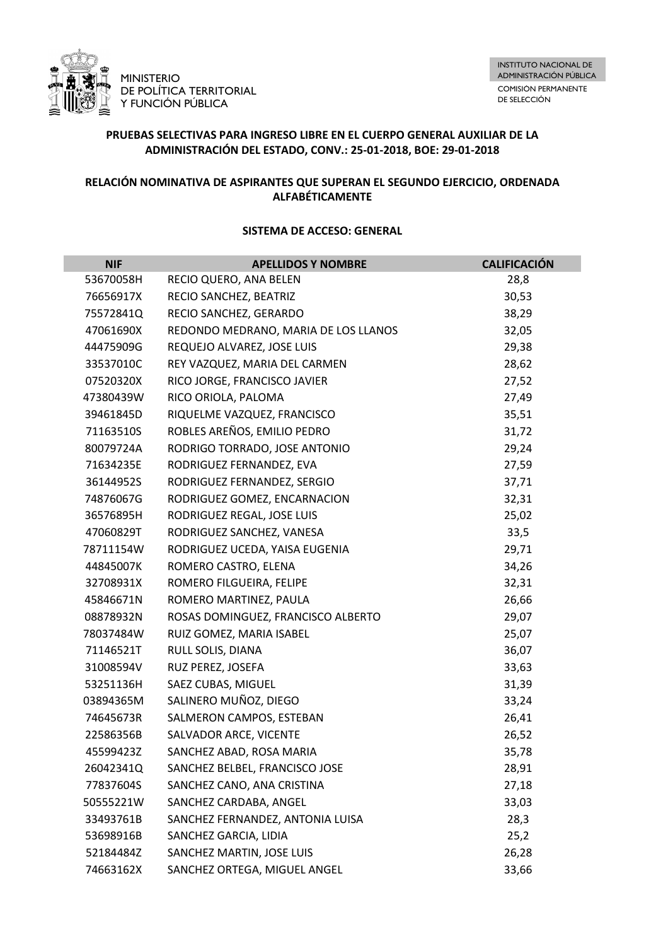

# **PRUEBAS SELECTIVAS PARA INGRESO LIBRE EN EL CUERPO GENERAL AUXILIAR DE LA ADMINISTRACIÓN DEL ESTADO, CONV.: 25-01-2018, BOE: 29-01-2018**

## **RELACIÓN NOMINATIVA DE ASPIRANTES QUE SUPERAN EL SEGUNDO EJERCICIO, ORDENADA ALFABÉTICAMENTE**

| <b>NIF</b> | <b>APELLIDOS Y NOMBRE</b>            | <b>CALIFICACIÓN</b> |
|------------|--------------------------------------|---------------------|
| 53670058H  | RECIO QUERO, ANA BELEN               | 28,8                |
| 76656917X  | RECIO SANCHEZ, BEATRIZ               | 30,53               |
| 75572841Q  | RECIO SANCHEZ, GERARDO               | 38,29               |
| 47061690X  | REDONDO MEDRANO, MARIA DE LOS LLANOS | 32,05               |
| 44475909G  | REQUEJO ALVAREZ, JOSE LUIS           | 29,38               |
| 33537010C  | REY VAZQUEZ, MARIA DEL CARMEN        | 28,62               |
| 07520320X  | RICO JORGE, FRANCISCO JAVIER         | 27,52               |
| 47380439W  | RICO ORIOLA, PALOMA                  | 27,49               |
| 39461845D  | RIQUELME VAZQUEZ, FRANCISCO          | 35,51               |
| 71163510S  | ROBLES AREÑOS, EMILIO PEDRO          | 31,72               |
| 80079724A  | RODRIGO TORRADO, JOSE ANTONIO        | 29,24               |
| 71634235E  | RODRIGUEZ FERNANDEZ, EVA             | 27,59               |
| 36144952S  | RODRIGUEZ FERNANDEZ, SERGIO          | 37,71               |
| 74876067G  | RODRIGUEZ GOMEZ, ENCARNACION         | 32,31               |
| 36576895H  | RODRIGUEZ REGAL, JOSE LUIS           | 25,02               |
| 47060829T  | RODRIGUEZ SANCHEZ, VANESA            | 33,5                |
| 78711154W  | RODRIGUEZ UCEDA, YAISA EUGENIA       | 29,71               |
| 44845007K  | ROMERO CASTRO, ELENA                 | 34,26               |
| 32708931X  | ROMERO FILGUEIRA, FELIPE             | 32,31               |
| 45846671N  | ROMERO MARTINEZ, PAULA               | 26,66               |
| 08878932N  | ROSAS DOMINGUEZ, FRANCISCO ALBERTO   | 29,07               |
| 78037484W  | RUIZ GOMEZ, MARIA ISABEL             | 25,07               |
| 71146521T  | RULL SOLIS, DIANA                    | 36,07               |
| 31008594V  | RUZ PEREZ, JOSEFA                    | 33,63               |
| 53251136H  | SAEZ CUBAS, MIGUEL                   | 31,39               |
| 03894365M  | SALINERO MUÑOZ, DIEGO                | 33,24               |
| 74645673R  | SALMERON CAMPOS, ESTEBAN             | 26,41               |
| 22586356B  | SALVADOR ARCE, VICENTE               | 26,52               |
| 45599423Z  | SANCHEZ ABAD, ROSA MARIA             | 35,78               |
| 26042341Q  | SANCHEZ BELBEL, FRANCISCO JOSE       | 28,91               |
| 77837604S  | SANCHEZ CANO, ANA CRISTINA           | 27,18               |
| 50555221W  | SANCHEZ CARDABA, ANGEL               | 33,03               |
| 33493761B  | SANCHEZ FERNANDEZ, ANTONIA LUISA     | 28,3                |
| 53698916B  | SANCHEZ GARCIA, LIDIA                | 25,2                |
| 52184484Z  | SANCHEZ MARTIN, JOSE LUIS            | 26,28               |
| 74663162X  | SANCHEZ ORTEGA, MIGUEL ANGEL         | 33,66               |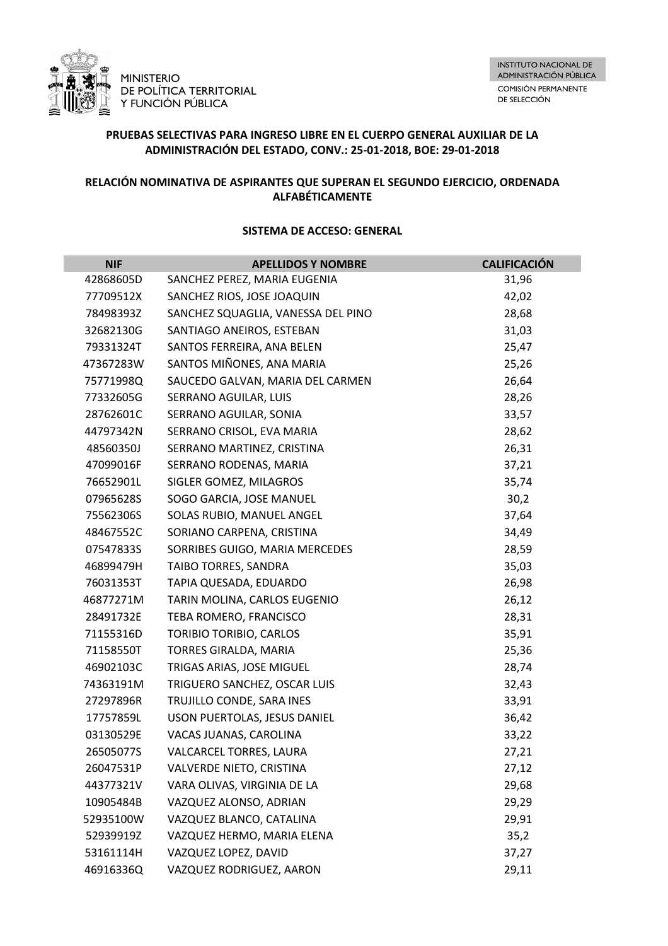

# **PRUEBAS SELECTIVAS PARA INGRESO LIBRE EN EL CUERPO GENERAL AUXILIAR DE LA ADMINISTRACIÓN DEL ESTADO, CONV.: 25-01-2018, BOE: 29-01-2018**

## **RELACIÓN NOMINATIVA DE ASPIRANTES QUE SUPERAN EL SEGUNDO EJERCICIO, ORDENADA ALFABÉTICAMENTE**

| <b>NIF</b> | <b>APELLIDOS Y NOMBRE</b>          | <b>CALIFICACIÓN</b> |
|------------|------------------------------------|---------------------|
| 42868605D  | SANCHEZ PEREZ, MARIA EUGENIA       | 31,96               |
| 77709512X  | SANCHEZ RIOS, JOSE JOAQUIN         | 42,02               |
| 78498393Z  | SANCHEZ SQUAGLIA, VANESSA DEL PINO | 28,68               |
| 32682130G  | SANTIAGO ANEIROS, ESTEBAN          | 31,03               |
| 79331324T  | SANTOS FERREIRA, ANA BELEN         | 25,47               |
| 47367283W  | SANTOS MIÑONES, ANA MARIA          | 25,26               |
| 75771998Q  | SAUCEDO GALVAN, MARIA DEL CARMEN   | 26,64               |
| 77332605G  | SERRANO AGUILAR, LUIS              | 28,26               |
| 28762601C  | SERRANO AGUILAR, SONIA             | 33,57               |
| 44797342N  | SERRANO CRISOL, EVA MARIA          | 28,62               |
| 48560350J  | SERRANO MARTINEZ, CRISTINA         | 26,31               |
| 47099016F  | SERRANO RODENAS, MARIA             | 37,21               |
| 76652901L  | SIGLER GOMEZ, MILAGROS             | 35,74               |
| 07965628S  | SOGO GARCIA, JOSE MANUEL           | 30,2                |
| 75562306S  | SOLAS RUBIO, MANUEL ANGEL          | 37,64               |
| 48467552C  | SORIANO CARPENA, CRISTINA          | 34,49               |
| 07547833S  | SORRIBES GUIGO, MARIA MERCEDES     | 28,59               |
| 46899479H  | TAIBO TORRES, SANDRA               | 35,03               |
| 76031353T  | TAPIA QUESADA, EDUARDO             | 26,98               |
| 46877271M  | TARIN MOLINA, CARLOS EUGENIO       | 26,12               |
| 28491732E  | TEBA ROMERO, FRANCISCO             | 28,31               |
| 71155316D  | TORIBIO TORIBIO, CARLOS            | 35,91               |
| 71158550T  | TORRES GIRALDA, MARIA              | 25,36               |
| 46902103C  | TRIGAS ARIAS, JOSE MIGUEL          | 28,74               |
| 74363191M  | TRIGUERO SANCHEZ, OSCAR LUIS       | 32,43               |
| 27297896R  | TRUJILLO CONDE, SARA INES          | 33,91               |
| 17757859L  | USON PUERTOLAS, JESUS DANIEL       | 36,42               |
| 03130529E  | VACAS JUANAS, CAROLINA             | 33,22               |
| 26505077S  | VALCARCEL TORRES, LAURA            | 27,21               |
| 26047531P  | VALVERDE NIETO, CRISTINA           | 27,12               |
| 44377321V  | VARA OLIVAS, VIRGINIA DE LA        | 29,68               |
| 10905484B  | VAZQUEZ ALONSO, ADRIAN             | 29,29               |
| 52935100W  | VAZQUEZ BLANCO, CATALINA           | 29,91               |
| 52939919Z  | VAZQUEZ HERMO, MARIA ELENA         | 35,2                |
| 53161114H  | VAZQUEZ LOPEZ, DAVID               | 37,27               |
| 46916336Q  | VAZQUEZ RODRIGUEZ, AARON           | 29,11               |